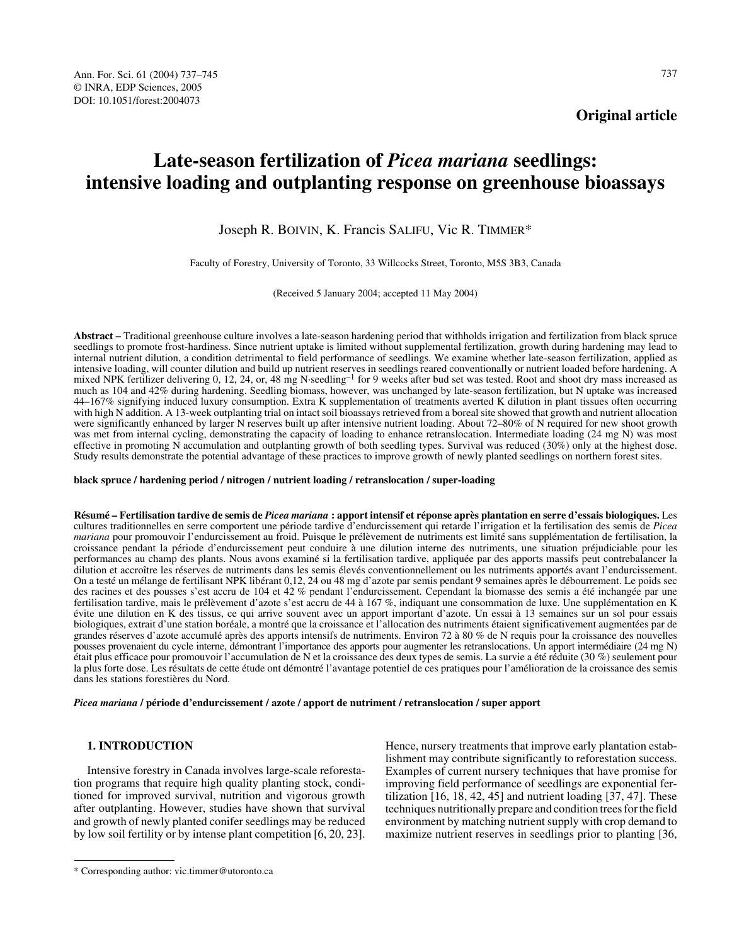**Original article**

# **Late-season fertilization of** *Picea mariana* **seedlings: intensive loading and outplanting response on greenhouse bioassays**

Joseph R. BOIVIN, K. Francis SALIFU, Vic R. TIMMER\*

Faculty of Forestry, University of Toronto, 33 Willcocks Street, Toronto, M5S 3B3, Canada

(Received 5 January 2004; accepted 11 May 2004)

**Abstract –** Traditional greenhouse culture involves a late-season hardening period that withholds irrigation and fertilization from black spruce seedlings to promote frost-hardiness. Since nutrient uptake is limited without supplemental fertilization, growth during hardening may lead to internal nutrient dilution, a condition detrimental to field performance of seedlings. We examine whether late-season fertilization, applied as intensive loading, will counter dilution and build up nutrient reserves in seedlings reared conventionally or nutrient loaded before hardening. A mixed NPK fertilizer delivering 0, 12, 24, or, 48 mg N·seedling–1 for 9 weeks after bud set was tested. Root and shoot dry mass increased as much as 104 and 42% during hardening. Seedling biomass, however, was unchanged by late-season fertilization, but N uptake was increased 44–167% signifying induced luxury consumption. Extra K supplementation of treatments averted K dilution in plant tissues often occurring with high N addition. A 13-week outplanting trial on intact soil bioassays retrieved from a boreal site showed that growth and nutrient allocation were significantly enhanced by larger N reserves built up after intensive nutrient loading. About 72–80% of N required for new shoot growth was met from internal cycling, demonstrating the capacity of loading to enhance retranslocation. Intermediate loading (24 mg N) was most effective in promoting N accumulation and outplanting growth of both seedling types. Survival was reduced (30%) only at the highest dose. Study results demonstrate the potential advantage of these practices to improve growth of newly planted seedlings on northern forest sites.

#### **black spruce / hardening period / nitrogen / nutrient loading / retranslocation / super-loading**

**Résumé – Fertilisation tardive de semis de** *Picea mariana* **: apport intensif et réponse après plantation en serre d'essais biologiques.** Les cultures traditionnelles en serre comportent une période tardive d'endurcissement qui retarde l'irrigation et la fertilisation des semis de *Picea mariana* pour promouvoir l'endurcissement au froid. Puisque le prélèvement de nutriments est limité sans supplémentation de fertilisation, la croissance pendant la période d'endurcissement peut conduire à une dilution interne des nutriments, une situation préjudiciable pour les performances au champ des plants. Nous avons examiné si la fertilisation tardive, appliquée par des apports massifs peut contrebalancer la dilution et accroître les réserves de nutriments dans les semis élevés conventionnellement ou les nutriments apportés avant l'endurcissement. On a testé un mélange de fertilisant NPK libérant 0,12, 24 ou 48 mg d'azote par semis pendant 9 semaines après le débourrement. Le poids sec des racines et des pousses s'est accru de 104 et 42 % pendant l'endurcissement. Cependant la biomasse des semis a été inchangée par une fertilisation tardive, mais le prélèvement d'azote s'est accru de 44 à 167 %, indiquant une consommation de luxe. Une supplémentation en K évite une dilution en K des tissus, ce qui arrive souvent avec un apport important d'azote. Un essai à 13 semaines sur un sol pour essais biologiques, extrait d'une station boréale, a montré que la croissance et l'allocation des nutriments étaient significativement augmentées par de grandes réserves d'azote accumulé après des apports intensifs de nutriments. Environ 72 à 80 % de N requis pour la croissance des nouvelles pousses provenaient du cycle interne, démontrant l'importance des apports pour augmenter les retranslocations. Un apport intermédiaire (24 mg N) était plus efficace pour promouvoir l'accumulation de N et la croissance des deux types de semis. La survie a été réduite (30 %) seulement pour la plus forte dose. Les résultats de cette étude ont démontré l'avantage potentiel de ces pratiques pour l'amélioration de la croissance des semis dans les stations forestières du Nord.

*Picea mariana* **/ période d'endurcissement / azote / apport de nutriment / retranslocation / super apport**

# **1. INTRODUCTION**

Intensive forestry in Canada involves large-scale reforestation programs that require high quality planting stock, conditioned for improved survival, nutrition and vigorous growth after outplanting. However, studies have shown that survival and growth of newly planted conifer seedlings may be reduced by low soil fertility or by intense plant competition [6, 20, 23].

Hence, nursery treatments that improve early plantation establishment may contribute significantly to reforestation success. Examples of current nursery techniques that have promise for improving field performance of seedlings are exponential fertilization [16, 18, 42, 45] and nutrient loading [37, 47]. These techniques nutritionally prepare and condition trees for the field environment by matching nutrient supply with crop demand to maximize nutrient reserves in seedlings prior to planting [36,

<sup>\*</sup> Corresponding author: vic.timmer@utoronto.ca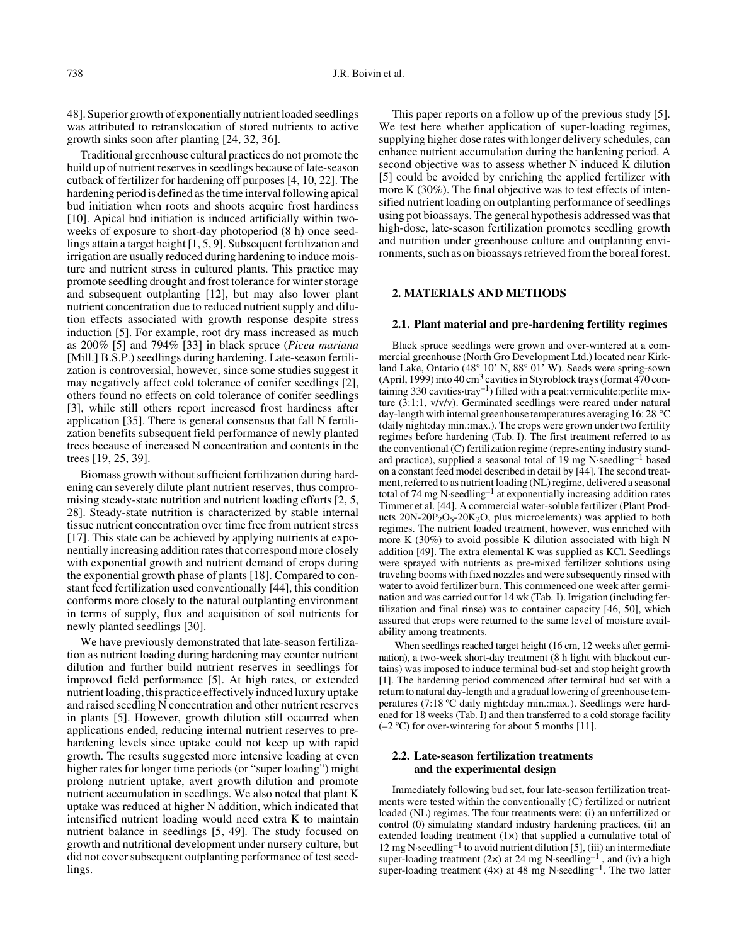48]. Superior growth of exponentially nutrient loaded seedlings was attributed to retranslocation of stored nutrients to active growth sinks soon after planting [24, 32, 36].

Traditional greenhouse cultural practices do not promote the build up of nutrient reserves in seedlings because of late-season cutback of fertilizer for hardening off purposes [4, 10, 22]. The hardening period is defined as the time interval following apical bud initiation when roots and shoots acquire frost hardiness [10]. Apical bud initiation is induced artificially within twoweeks of exposure to short-day photoperiod (8 h) once seedlings attain a target height [1, 5, 9]. Subsequent fertilization and irrigation are usually reduced during hardening to induce moisture and nutrient stress in cultured plants. This practice may promote seedling drought and frost tolerance for winter storage and subsequent outplanting [12], but may also lower plant nutrient concentration due to reduced nutrient supply and dilution effects associated with growth response despite stress induction [5]. For example, root dry mass increased as much as 200% [5] and 794% [33] in black spruce (*Picea mariana* [Mill.] B.S.P.) seedlings during hardening. Late-season fertilization is controversial, however, since some studies suggest it may negatively affect cold tolerance of conifer seedlings [2], others found no effects on cold tolerance of conifer seedlings [3], while still others report increased frost hardiness after application [35]. There is general consensus that fall N fertilization benefits subsequent field performance of newly planted trees because of increased N concentration and contents in the trees [19, 25, 39].

Biomass growth without sufficient fertilization during hardening can severely dilute plant nutrient reserves, thus compromising steady-state nutrition and nutrient loading efforts [2, 5, 28]. Steady-state nutrition is characterized by stable internal tissue nutrient concentration over time free from nutrient stress [17]. This state can be achieved by applying nutrients at exponentially increasing addition rates that correspond more closely with exponential growth and nutrient demand of crops during the exponential growth phase of plants [18]. Compared to constant feed fertilization used conventionally [44], this condition conforms more closely to the natural outplanting environment in terms of supply, flux and acquisition of soil nutrients for newly planted seedlings [30].

We have previously demonstrated that late-season fertilization as nutrient loading during hardening may counter nutrient dilution and further build nutrient reserves in seedlings for improved field performance [5]. At high rates, or extended nutrient loading, this practice effectively induced luxury uptake and raised seedling N concentration and other nutrient reserves in plants [5]. However, growth dilution still occurred when applications ended, reducing internal nutrient reserves to prehardening levels since uptake could not keep up with rapid growth. The results suggested more intensive loading at even higher rates for longer time periods (or "super loading") might prolong nutrient uptake, avert growth dilution and promote nutrient accumulation in seedlings. We also noted that plant K uptake was reduced at higher N addition, which indicated that intensified nutrient loading would need extra K to maintain nutrient balance in seedlings [5, 49]. The study focused on growth and nutritional development under nursery culture, but did not cover subsequent outplanting performance of test seedlings.

This paper reports on a follow up of the previous study [5]. We test here whether application of super-loading regimes, supplying higher dose rates with longer delivery schedules, can enhance nutrient accumulation during the hardening period. A second objective was to assess whether N induced K dilution [5] could be avoided by enriching the applied fertilizer with more K (30%). The final objective was to test effects of intensified nutrient loading on outplanting performance of seedlings using pot bioassays. The general hypothesis addressed was that high-dose, late-season fertilization promotes seedling growth and nutrition under greenhouse culture and outplanting environments, such as on bioassays retrieved from the boreal forest.

## **2. MATERIALS AND METHODS**

# **2.1. Plant material and pre-hardening fertility regimes**

Black spruce seedlings were grown and over-wintered at a commercial greenhouse (North Gro Development Ltd.) located near Kirkland Lake, Ontario (48° 10' N, 88° 01' W). Seeds were spring-sown (April, 1999) into 40 cm<sup>3</sup> cavities in Styroblock trays (format 470 containing 330 cavities·tray<sup>-1</sup>) filled with a peat:vermiculite:perlite mixture (3:1:1, v/v/v). Germinated seedlings were reared under natural day-length with internal greenhouse temperatures averaging 16: 28 °C (daily night:day min.:max.). The crops were grown under two fertility regimes before hardening (Tab. I). The first treatment referred to as the conventional (C) fertilization regime (representing industry standard practice), supplied a seasonal total of 19 mg N·seedling–1 based on a constant feed model described in detail by [44]. The second treatment, referred to as nutrient loading (NL) regime, delivered a seasonal total of 74 mg N·seedling–1 at exponentially increasing addition rates Timmer et al. [44]. A commercial water-soluble fertilizer (Plant Products  $20N-20P_2O_5-20K_2O$ , plus microelements) was applied to both regimes. The nutrient loaded treatment, however, was enriched with more K (30%) to avoid possible K dilution associated with high N addition [49]. The extra elemental K was supplied as KCl. Seedlings were sprayed with nutrients as pre-mixed fertilizer solutions using traveling booms with fixed nozzles and were subsequently rinsed with water to avoid fertilizer burn. This commenced one week after germination and was carried out for 14 wk (Tab. I). Irrigation (including fertilization and final rinse) was to container capacity [46, 50], which assured that crops were returned to the same level of moisture availability among treatments.

 When seedlings reached target height (16 cm, 12 weeks after germination), a two-week short-day treatment (8 h light with blackout curtains) was imposed to induce terminal bud-set and stop height growth [1]. The hardening period commenced after terminal bud set with a return to natural day-length and a gradual lowering of greenhouse temperatures (7:18 ºC daily night:day min.:max.). Seedlings were hardened for 18 weeks (Tab. I) and then transferred to a cold storage facility  $(-2 \degree C)$  for over-wintering for about 5 months [11].

# **2.2. Late-season fertilization treatments and the experimental design**

Immediately following bud set, four late-season fertilization treatments were tested within the conventionally (C) fertilized or nutrient loaded (NL) regimes. The four treatments were: (i) an unfertilized or control (0) simulating standard industry hardening practices, (ii) an extended loading treatment (1×) that supplied a cumulative total of 12 mg N·seedling<sup>-1</sup> to avoid nutrient dilution [5], (iii) an intermediate super-loading treatment (2 $\times$ ) at 24 mg N·seedling<sup>-1</sup>, and (iv) a high super-loading treatment  $(4x)$  at 48 mg N·seedling<sup>-1</sup>. The two latter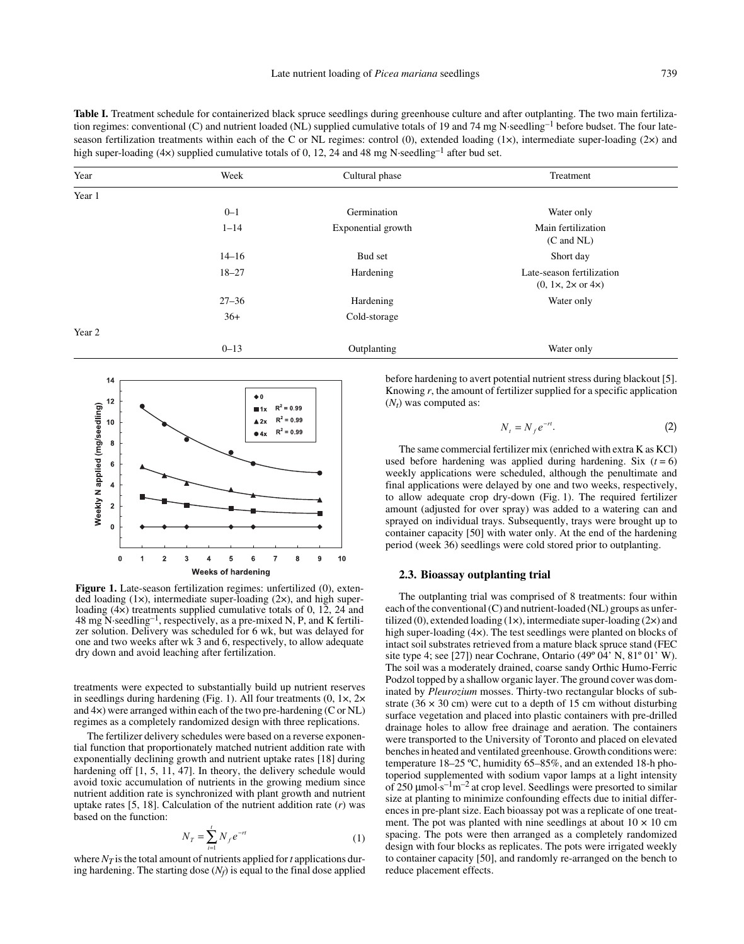Table I. Treatment schedule for containerized black spruce seedlings during greenhouse culture and after outplanting. The two main fertilization regimes: conventional (C) and nutrient loaded (NL) supplied cumulative totals of 19 and 74 mg N·seedling<sup>-1</sup> before budset. The four lateseason fertilization treatments within each of the C or NL regimes: control (0), extended loading  $(1\times)$ , intermediate super-loading  $(2\times)$  and high super-loading (4 $\times$ ) supplied cumulative totals of 0, 12, 24 and 48 mg N·seedling<sup>-1</sup> after bud set.

| Year   | Week      | Cultural phase     | Treatment                                                 |
|--------|-----------|--------------------|-----------------------------------------------------------|
| Year 1 |           |                    |                                                           |
|        | $0 - 1$   | Germination        | Water only                                                |
|        | $1 - 14$  | Exponential growth | Main fertilization<br>$(C \text{ and } NL)$               |
|        | $14 - 16$ | Bud set            | Short day                                                 |
|        | $18 - 27$ | Hardening          | Late-season fertilization<br>$(0, 1x, 2x \text{ or } 4x)$ |
|        | $27 - 36$ | Hardening          | Water only                                                |
|        | $36+$     | Cold-storage       |                                                           |
| Year 2 |           |                    |                                                           |
|        | $0 - 13$  | Outplanting        | Water only                                                |



**Figure 1.** Late-season fertilization regimes: unfertilized (0), extended loading (1×), intermediate super-loading (2×), and high superloading (4×) treatments supplied cumulative totals of 0, 12, 24 and 48 mg N·seedling–1, respectively, as a pre-mixed N, P, and K fertilizer solution. Delivery was scheduled for 6 wk, but was delayed for one and two weeks after wk 3 and 6, respectively, to allow adequate dry down and avoid leaching after fertilization.

treatments were expected to substantially build up nutrient reserves in seedlings during hardening (Fig. 1). All four treatments (0, 1×, 2× and 4×) were arranged within each of the two pre-hardening (C or NL) regimes as a completely randomized design with three replications.

The fertilizer delivery schedules were based on a reverse exponential function that proportionately matched nutrient addition rate with exponentially declining growth and nutrient uptake rates [18] during hardening off  $[1, 5, 11, 47]$ . In theory, the delivery schedule would avoid toxic accumulation of nutrients in the growing medium since nutrient addition rate is synchronized with plant growth and nutrient uptake rates [5, 18]. Calculation of the nutrient addition rate (*r*) was based on the function:

$$
N_T = \sum_{i=1}^{t} N_f e^{-rt}
$$
 (1)

where  $N_T$  is the total amount of nutrients applied for *t* applications during hardening. The starting dose  $(N_f)$  is equal to the final dose applied before hardening to avert potential nutrient stress during blackout [5]. Knowing *r*, the amount of fertilizer supplied for a specific application  $(N_t)$  was computed as:

$$
N_t = N_f e^{-rt}.\tag{2}
$$

The same commercial fertilizer mix (enriched with extra K as KCl) used before hardening was applied during hardening. Six  $(t = 6)$ weekly applications were scheduled, although the penultimate and final applications were delayed by one and two weeks, respectively, to allow adequate crop dry-down (Fig. 1). The required fertilizer amount (adjusted for over spray) was added to a watering can and sprayed on individual trays. Subsequently, trays were brought up to container capacity [50] with water only. At the end of the hardening period (week 36) seedlings were cold stored prior to outplanting.

## **2.3. Bioassay outplanting trial**

The outplanting trial was comprised of 8 treatments: four within each of the conventional (C) and nutrient-loaded (NL) groups as unfertilized (0), extended loading  $(1\times)$ , intermediate super-loading  $(2\times)$  and high super-loading (4×). The test seedlings were planted on blocks of intact soil substrates retrieved from a mature black spruce stand (FEC site type 4; see [27]) near Cochrane, Ontario (49º 04' N, 81º 01' W). The soil was a moderately drained, coarse sandy Orthic Humo-Ferric Podzol topped by a shallow organic layer. The ground cover was dominated by *Pleurozium* mosses. Thirty-two rectangular blocks of substrate  $(36 \times 30 \text{ cm})$  were cut to a depth of 15 cm without disturbing surface vegetation and placed into plastic containers with pre-drilled drainage holes to allow free drainage and aeration. The containers were transported to the University of Toronto and placed on elevated benches in heated and ventilated greenhouse. Growth conditions were: temperature 18–25 ºC, humidity 65–85%, and an extended 18-h photoperiod supplemented with sodium vapor lamps at a light intensity of 250  $\mu$ mol·s<sup>-1</sup>m<sup>-2</sup> at crop level. Seedlings were presorted to similar size at planting to minimize confounding effects due to initial differences in pre-plant size. Each bioassay pot was a replicate of one treatment. The pot was planted with nine seedlings at about  $10 \times 10$  cm spacing. The pots were then arranged as a completely randomized design with four blocks as replicates. The pots were irrigated weekly to container capacity [50], and randomly re-arranged on the bench to reduce placement effects.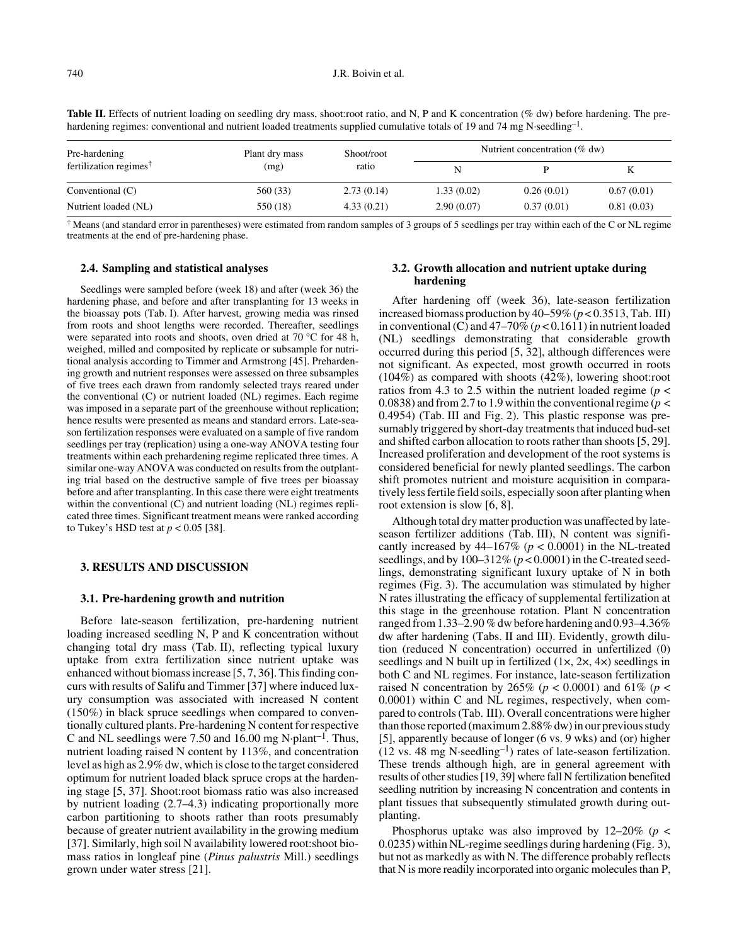| hardening regimes: conventional and nutrient loaded treatments supplied cumulative totals of 19 and 74 mg N seedling <sup>-1</sup> . |                |            |  |                                  |  |  |  |
|--------------------------------------------------------------------------------------------------------------------------------------|----------------|------------|--|----------------------------------|--|--|--|
| Pre-hardening                                                                                                                        | Plant dry mass | Shoot/root |  | Nutrient concentration $(\%$ dw) |  |  |  |
| fertilization regimes <sup>†</sup>                                                                                                   | (mg)           | ratio      |  |                                  |  |  |  |

Conventional (C) 560 (33) 2.73 (0.14) 1.33 (0.02) 0.26 (0.01) 0.67 (0.01) Nutrient loaded (NL) 550 (18) 4.33 (0.21) 2.90 (0.07) 0.37 (0.01) 0.81 (0.03)

Table II. Effects of nutrient loading on seedling dry mass, shoot:root ratio, and N, P and K concentration (% dw) before hardening. The pre-

† Means (and standard error in parentheses) were estimated from random samples of 3 groups of 5 seedlings per tray within each of the C or NL regime treatments at the end of pre-hardening phase.

## **2.4. Sampling and statistical analyses**

Seedlings were sampled before (week 18) and after (week 36) the hardening phase, and before and after transplanting for 13 weeks in the bioassay pots (Tab. I). After harvest, growing media was rinsed from roots and shoot lengths were recorded. Thereafter, seedlings were separated into roots and shoots, oven dried at 70 °C for 48 h, weighed, milled and composited by replicate or subsample for nutritional analysis according to Timmer and Armstrong [45]. Prehardening growth and nutrient responses were assessed on three subsamples of five trees each drawn from randomly selected trays reared under the conventional (C) or nutrient loaded (NL) regimes. Each regime was imposed in a separate part of the greenhouse without replication; hence results were presented as means and standard errors. Late-season fertilization responses were evaluated on a sample of five random seedlings per tray (replication) using a one-way ANOVA testing four treatments within each prehardening regime replicated three times. A similar one-way ANOVA was conducted on results from the outplanting trial based on the destructive sample of five trees per bioassay before and after transplanting. In this case there were eight treatments within the conventional (C) and nutrient loading (NL) regimes replicated three times. Significant treatment means were ranked according to Tukey's HSD test at  $p < 0.05$  [38].

#### **3. RESULTS AND DISCUSSION**

#### **3.1. Pre-hardening growth and nutrition**

Before late-season fertilization, pre-hardening nutrient loading increased seedling N, P and K concentration without changing total dry mass (Tab. II), reflecting typical luxury uptake from extra fertilization since nutrient uptake was enhanced without biomass increase [5, 7, 36]. This finding concurs with results of Salifu and Timmer [37] where induced luxury consumption was associated with increased N content (150%) in black spruce seedlings when compared to conventionally cultured plants. Pre-hardening N content for respective C and NL seedlings were 7.50 and 16.00 mg N·plant–1. Thus, nutrient loading raised N content by 113%, and concentration level as high as 2.9% dw, which is close to the target considered optimum for nutrient loaded black spruce crops at the hardening stage [5, 37]. Shoot:root biomass ratio was also increased by nutrient loading (2.7–4.3) indicating proportionally more carbon partitioning to shoots rather than roots presumably because of greater nutrient availability in the growing medium [37]. Similarly, high soil N availability lowered root:shoot biomass ratios in longleaf pine (*Pinus palustris* Mill.) seedlings grown under water stress [21].

## **3.2. Growth allocation and nutrient uptake during hardening**

After hardening off (week 36), late-season fertilization increased biomass production by  $40-59\%$  ( $p < 0.3513$ , Tab. III) in conventional (C) and  $47-70\%$  ( $p < 0.1611$ ) in nutrient loaded (NL) seedlings demonstrating that considerable growth occurred during this period [5, 32], although differences were not significant. As expected, most growth occurred in roots (104%) as compared with shoots (42%), lowering shoot:root ratios from 4.3 to 2.5 within the nutrient loaded regime ( $p <$ 0.0838) and from 2.7 to 1.9 within the conventional regime ( $p <$ 0.4954) (Tab. III and Fig. 2). This plastic response was presumably triggered by short-day treatments that induced bud-set and shifted carbon allocation to roots rather than shoots [5, 29]. Increased proliferation and development of the root systems is considered beneficial for newly planted seedlings. The carbon shift promotes nutrient and moisture acquisition in comparatively less fertile field soils, especially soon after planting when root extension is slow [6, 8].

Although total dry matter production was unaffected by lateseason fertilizer additions (Tab. III), N content was significantly increased by  $44-167\%$  ( $p < 0.0001$ ) in the NL-treated seedlings, and by  $100-312\%$  ( $p < 0.0001$ ) in the C-treated seedlings, demonstrating significant luxury uptake of N in both regimes (Fig. 3). The accumulation was stimulated by higher N rates illustrating the efficacy of supplemental fertilization at this stage in the greenhouse rotation. Plant N concentration ranged from 1.33–2.90 % dw before hardening and 0.93–4.36% dw after hardening (Tabs. II and III). Evidently, growth dilution (reduced N concentration) occurred in unfertilized (0) seedlings and N built up in fertilized  $(1 \times, 2 \times, 4 \times)$  seedlings in both C and NL regimes. For instance, late-season fertilization raised N concentration by 265% ( $p < 0.0001$ ) and 61% ( $p <$ 0.0001) within C and NL regimes, respectively, when compared to controls (Tab. III). Overall concentrations were higher than those reported (maximum 2.88% dw) in our previous study [5], apparently because of longer (6 vs. 9 wks) and (or) higher  $(12 \text{ vs. } 48 \text{ mg N-seedling}^{-1})$  rates of late-season fertilization. These trends although high, are in general agreement with results of other studies [19, 39] where fall N fertilization benefited seedling nutrition by increasing N concentration and contents in plant tissues that subsequently stimulated growth during outplanting.

Phosphorus uptake was also improved by  $12-20\%$  ( $p <$ 0.0235) within NL-regime seedlings during hardening (Fig. 3), but not as markedly as with N. The difference probably reflects that N is more readily incorporated into organic molecules than P,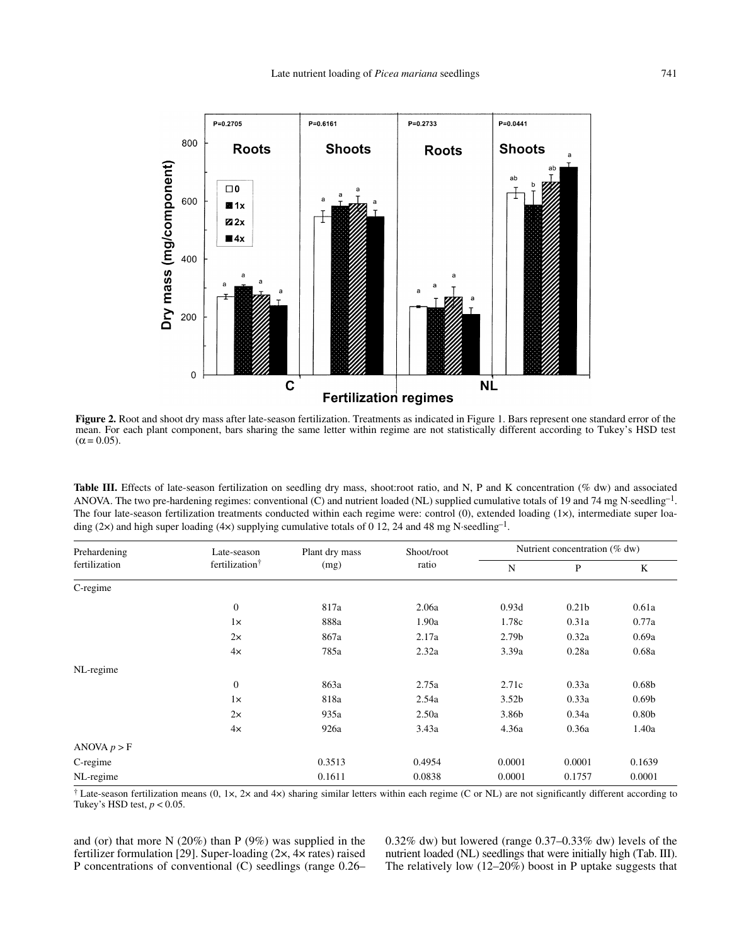

**Figure 2.** Root and shoot dry mass after late-season fertilization. Treatments as indicated in Figure 1. Bars represent one standard error of the mean. For each plant component, bars sharing the same letter within regime are not statistically different according to Tukey's HSD test  $(\alpha = 0.05)$ .

Table III. Effects of late-season fertilization on seedling dry mass, shoot:root ratio, and N, P and K concentration (% dw) and associated ANOVA. The two pre-hardening regimes: conventional (C) and nutrient loaded (NL) supplied cumulative totals of 19 and 74 mg N·seedling–1. The four late-season fertilization treatments conducted within each regime were: control (0), extended loading (1×), intermediate super loading (2×) and high super loading (4×) supplying cumulative totals of 0 12, 24 and 48 mg N·seedling<sup>-1</sup>.

| Prehardening<br>fertilization | Late-season<br>fertilization <sup>†</sup> | Plant dry mass | Shoot/root<br>ratio | Nutrient concentration (% dw) |                   |                   |
|-------------------------------|-------------------------------------------|----------------|---------------------|-------------------------------|-------------------|-------------------|
|                               |                                           | (mg)           |                     | N                             | P                 | K                 |
| C-regime                      |                                           |                |                     |                               |                   |                   |
|                               | $\boldsymbol{0}$                          | 817a           | 2.06a               | 0.93d                         | 0.21 <sub>b</sub> | 0.61a             |
|                               | $1\times$                                 | 888a           | 1.90a               | 1.78c                         | 0.31a             | 0.77a             |
|                               | $2\times$                                 | 867a           | 2.17a               | 2.79 <sub>b</sub>             | 0.32a             | 0.69a             |
|                               | 4x                                        | 785a           | 2.32a               | 3.39a                         | 0.28a             | 0.68a             |
| NL-regime                     |                                           |                |                     |                               |                   |                   |
|                               | $\boldsymbol{0}$                          | 863a           | 2.75a               | 2.71c                         | 0.33a             | 0.68 <sub>b</sub> |
|                               | $1\times$                                 | 818a           | 2.54a               | 3.52 <sub>b</sub>             | 0.33a             | 0.69 <sub>b</sub> |
|                               | 2x                                        | 935a           | 2.50a               | 3.86b                         | 0.34a             | 0.80 <sub>b</sub> |
|                               | 4x                                        | 926a           | 3.43a               | 4.36a                         | 0.36a             | 1.40a             |
| ANOVA $p > F$                 |                                           |                |                     |                               |                   |                   |
| C-regime                      |                                           | 0.3513         | 0.4954              | 0.0001                        | 0.0001            | 0.1639            |
| NL-regime                     |                                           | 0.1611         | 0.0838              | 0.0001                        | 0.1757            | 0.0001            |

<sup>†</sup> Late-season fertilization means (0, 1×, 2× and 4×) sharing similar letters within each regime (C or NL) are not significantly different according to Tukey's HSD test,  $p < 0.05$ .

and (or) that more N (20%) than P (9%) was supplied in the fertilizer formulation [29]. Super-loading (2×, 4× rates) raised P concentrations of conventional (C) seedlings (range 0.26– 0.32% dw) but lowered (range 0.37–0.33% dw) levels of the nutrient loaded (NL) seedlings that were initially high (Tab. III). The relatively low  $(12-20\%)$  boost in P uptake suggests that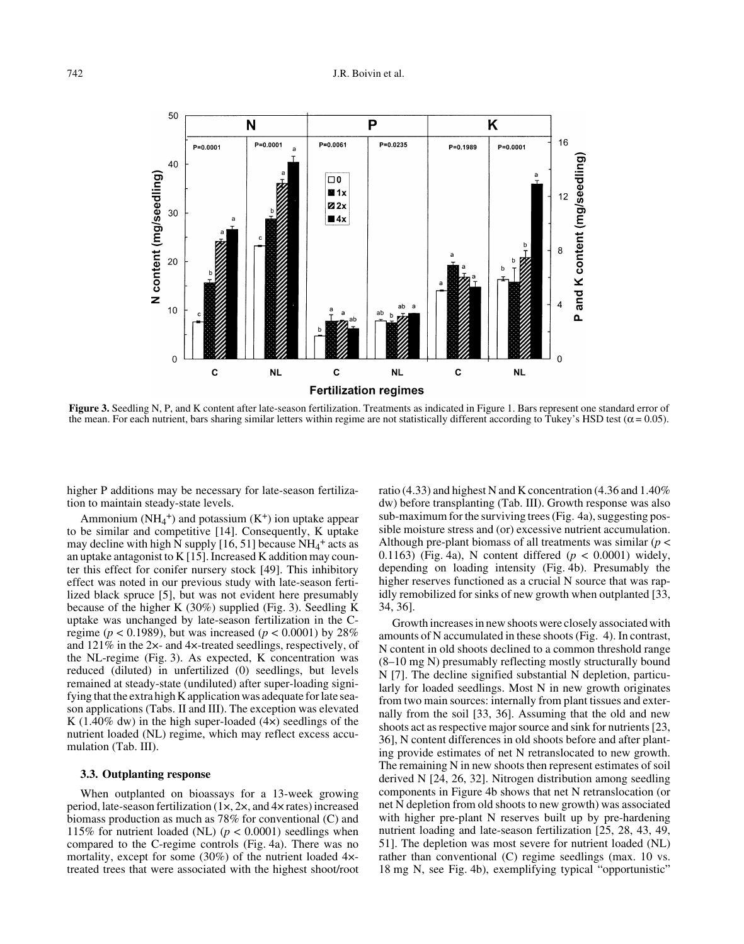

**Figure 3.** Seedling N, P, and K content after late-season fertilization. Treatments as indicated in Figure 1. Bars represent one standard error of the mean. For each nutrient, bars sharing similar letters within regime are not statistically different according to Tukey's HSD test ( $\alpha$  = 0.05).

higher P additions may be necessary for late-season fertilization to maintain steady-state levels.

Ammonium  $(NH_4^+)$  and potassium  $(K^+)$  ion uptake appear to be similar and competitive [14]. Consequently, K uptake may decline with high  $\tilde{N}$  supply [16, 51] because  $NH_4^+$  acts as an uptake antagonist to K  $[15]$ . Increased K addition may counter this effect for conifer nursery stock [49]. This inhibitory effect was noted in our previous study with late-season fertilized black spruce [5], but was not evident here presumably because of the higher K  $(30\%)$  supplied (Fig. 3). Seedling K uptake was unchanged by late-season fertilization in the Cregime ( $p < 0.1989$ ), but was increased ( $p < 0.0001$ ) by 28% and 121% in the 2×- and 4×-treated seedlings, respectively, of the NL-regime (Fig. 3). As expected, K concentration was reduced (diluted) in unfertilized (0) seedlings, but levels remained at steady-state (undiluted) after super-loading signifying that the extra high K application was adequate for late season applications (Tabs. II and III). The exception was elevated K (1.40% dw) in the high super-loaded  $(4x)$  seedlings of the nutrient loaded (NL) regime, which may reflect excess accumulation (Tab. III).

#### **3.3. Outplanting response**

When outplanted on bioassays for a 13-week growing period, late-season fertilization (1×, 2×, and 4× rates) increased biomass production as much as 78% for conventional (C) and 115% for nutrient loaded (NL)  $(p < 0.0001)$  seedlings when compared to the C-regime controls (Fig. 4a). There was no mortality, except for some (30%) of the nutrient loaded 4× treated trees that were associated with the highest shoot/root ratio (4.33) and highest N and K concentration (4.36 and 1.40% dw) before transplanting (Tab. III). Growth response was also sub-maximum for the surviving trees (Fig. 4a), suggesting possible moisture stress and (or) excessive nutrient accumulation. Although pre-plant biomass of all treatments was similar (*p* < 0.1163) (Fig. 4a), N content differed (*p* < 0.0001) widely, depending on loading intensity (Fig. 4b). Presumably the higher reserves functioned as a crucial N source that was rapidly remobilized for sinks of new growth when outplanted [33, 34, 36].

Growth increases in new shoots were closely associated with amounts of N accumulated in these shoots (Fig. 4). In contrast, N content in old shoots declined to a common threshold range (8–10 mg N) presumably reflecting mostly structurally bound N [7]. The decline signified substantial N depletion, particularly for loaded seedlings. Most N in new growth originates from two main sources: internally from plant tissues and externally from the soil [33, 36]. Assuming that the old and new shoots act as respective major source and sink for nutrients [23, 36], N content differences in old shoots before and after planting provide estimates of net N retranslocated to new growth. The remaining N in new shoots then represent estimates of soil derived N [24, 26, 32]. Nitrogen distribution among seedling components in Figure 4b shows that net N retranslocation (or net N depletion from old shoots to new growth) was associated with higher pre-plant N reserves built up by pre-hardening nutrient loading and late-season fertilization [25, 28, 43, 49, 51]. The depletion was most severe for nutrient loaded (NL) rather than conventional (C) regime seedlings (max. 10 vs. 18 mg N, see Fig. 4b), exemplifying typical "opportunistic"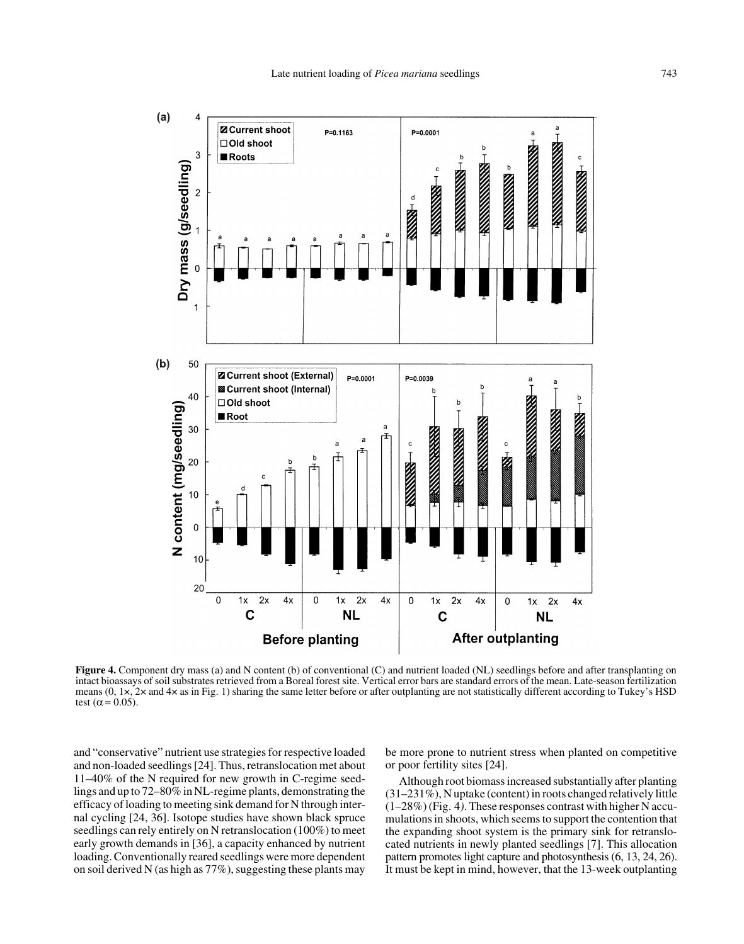

**Figure 4.** Component dry mass (a) and N content (b) of conventional (C) and nutrient loaded (NL) seedlings before and after transplanting on intact bioassays of soil substrates retrieved from a Boreal forest site. Vertical error bars are standard errors of the mean. Late-season fertilization means (0, 1×, 2× and 4× as in Fig. 1) sharing the same letter before or after outplanting are not statistically different according to Tukey's HSD test ( $\alpha$  = 0.05).

and "conservative" nutrient use strategies for respective loaded and non-loaded seedlings [24]. Thus, retranslocation met about 11–40% of the N required for new growth in C-regime seedlings and up to 72–80% in NL-regime plants, demonstrating the efficacy of loading to meeting sink demand for N through internal cycling [24, 36]. Isotope studies have shown black spruce seedlings can rely entirely on N retranslocation (100%) to meet early growth demands in [36], a capacity enhanced by nutrient loading. Conventionally reared seedlings were more dependent on soil derived N (as high as 77%), suggesting these plants may

be more prone to nutrient stress when planted on competitive or poor fertility sites [24].

Although root biomass increased substantially after planting (31–231%), N uptake (content) in roots changed relatively little (1–28%) (Fig. 4*)*. These responses contrast with higher N accumulations in shoots, which seems to support the contention that the expanding shoot system is the primary sink for retranslocated nutrients in newly planted seedlings [7]. This allocation pattern promotes light capture and photosynthesis (6, 13, 24, 26). It must be kept in mind, however, that the 13-week outplanting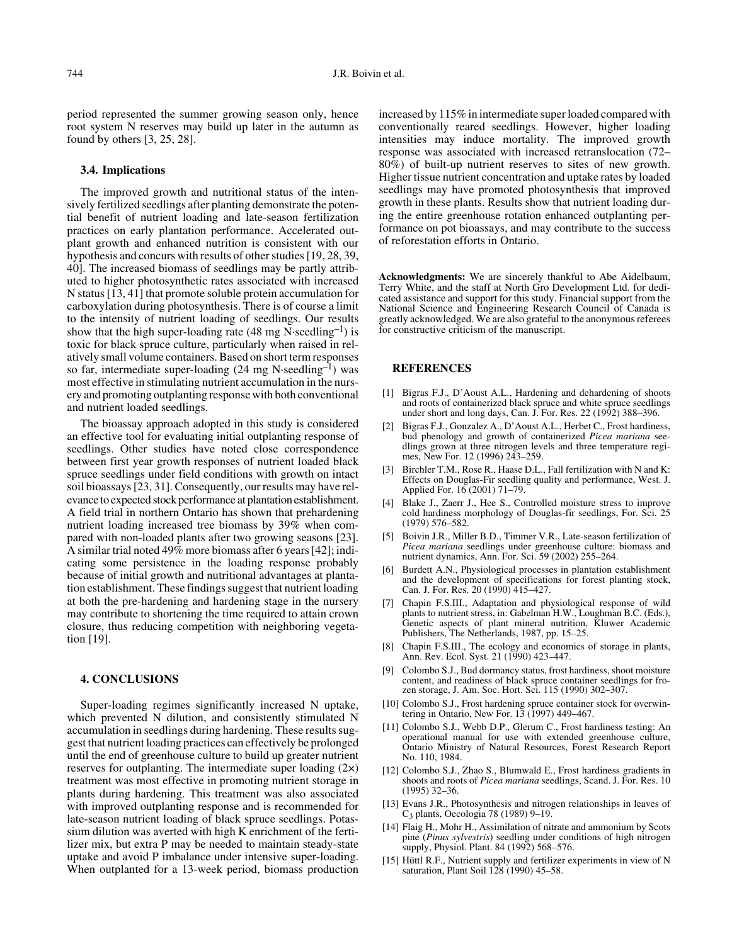period represented the summer growing season only, hence root system N reserves may build up later in the autumn as found by others [3, 25, 28].

#### **3.4. Implications**

The improved growth and nutritional status of the intensively fertilized seedlings after planting demonstrate the potential benefit of nutrient loading and late-season fertilization practices on early plantation performance. Accelerated outplant growth and enhanced nutrition is consistent with our hypothesis and concurs with results of other studies [19, 28, 39, 40]. The increased biomass of seedlings may be partly attributed to higher photosynthetic rates associated with increased N status [13, 41] that promote soluble protein accumulation for carboxylation during photosynthesis. There is of course a limit to the intensity of nutrient loading of seedlings. Our results show that the high super-loading rate  $(48 \text{ mg N-seedling}^{-1})$  is toxic for black spruce culture, particularly when raised in relatively small volume containers. Based on short term responses so far, intermediate super-loading  $(24 \text{ mg N-seedling}^{-1})$  was most effective in stimulating nutrient accumulation in the nursery and promoting outplanting response with both conventional and nutrient loaded seedlings.

The bioassay approach adopted in this study is considered an effective tool for evaluating initial outplanting response of seedlings. Other studies have noted close correspondence between first year growth responses of nutrient loaded black spruce seedlings under field conditions with growth on intact soil bioassays [23, 31]. Consequently, our results may have relevance to expected stock performance at plantation establishment. A field trial in northern Ontario has shown that prehardening nutrient loading increased tree biomass by 39% when compared with non-loaded plants after two growing seasons [23]. A similar trial noted 49% more biomass after 6 years [42]; indicating some persistence in the loading response probably because of initial growth and nutritional advantages at plantation establishment. These findings suggest that nutrient loading at both the pre-hardening and hardening stage in the nursery may contribute to shortening the time required to attain crown closure, thus reducing competition with neighboring vegetation [19].

#### **4. CONCLUSIONS**

Super-loading regimes significantly increased N uptake, which prevented N dilution, and consistently stimulated N accumulation in seedlings during hardening. These results suggest that nutrient loading practices can effectively be prolonged until the end of greenhouse culture to build up greater nutrient reserves for outplanting. The intermediate super loading  $(2x)$ treatment was most effective in promoting nutrient storage in plants during hardening. This treatment was also associated with improved outplanting response and is recommended for late-season nutrient loading of black spruce seedlings. Potassium dilution was averted with high K enrichment of the fertilizer mix, but extra P may be needed to maintain steady-state uptake and avoid P imbalance under intensive super-loading. When outplanted for a 13-week period, biomass production increased by 115% in intermediate super loaded compared with conventionally reared seedlings. However, higher loading intensities may induce mortality. The improved growth response was associated with increased retranslocation (72– 80%) of built-up nutrient reserves to sites of new growth. Higher tissue nutrient concentration and uptake rates by loaded seedlings may have promoted photosynthesis that improved growth in these plants. Results show that nutrient loading during the entire greenhouse rotation enhanced outplanting performance on pot bioassays, and may contribute to the success of reforestation efforts in Ontario.

**Acknowledgments:** We are sincerely thankful to Abe Aidelbaum, Terry White, and the staff at North Gro Development Ltd. for dedicated assistance and support for this study. Financial support from the National Science and Engineering Research Council of Canada is greatly acknowledged. We are also grateful to the anonymous referees for constructive criticism of the manuscript.

## **REFERENCES**

- [1] Bigras F.J., D'Aoust A.L., Hardening and dehardening of shoots and roots of containerized black spruce and white spruce seedlings under short and long days, Can. J. For. Res. 22 (1992) 388–396.
- [2] Bigras F.J., Gonzalez A., D'Aoust A.L., Herbet C., Frost hardiness, bud phenology and growth of containerized *Picea mariana* seedlings grown at three nitrogen levels and three temperature regimes, New For. 12 (1996) 243–259.
- [3] Birchler T.M., Rose R., Haase D.L., Fall fertilization with N and K: Effects on Douglas-Fir seedling quality and performance, West. J. Applied For. 16 (2001) 71–79.
- [4] Blake J., Zaerr J., Hee S., Controlled moisture stress to improve cold hardiness morphology of Douglas-fir seedlings, For. Sci. 25 (1979) 576–582.
- [5] Boivin J.R., Miller B.D., Timmer V.R., Late-season fertilization of *Picea mariana* seedlings under greenhouse culture: biomass and nutrient dynamics, Ann. For. Sci. 59 (2002) 255–264.
- [6] Burdett A.N., Physiological processes in plantation establishment and the development of specifications for forest planting stock, Can. J. For. Res. 20 (1990) 415–427.
- [7] Chapin F.S.III., Adaptation and physiological response of wild plants to nutrient stress, in: Gabelman H.W., Loughman B.C. (Eds.), Genetic aspects of plant mineral nutrition, Kluwer Academic Publishers, The Netherlands, 1987, pp. 15–25.
- [8] Chapin F.S.III., The ecology and economics of storage in plants, Ann. Rev. Ecol. Syst. 21 (1990) 423–447.
- [9] Colombo S.J., Bud dormancy status, frost hardiness, shoot moisture content, and readiness of black spruce container seedlings for frozen storage, J. Am. Soc. Hort. Sci. 115 (1990) 302–307.
- [10] Colombo S.J., Frost hardening spruce container stock for overwintering in Ontario, New For. 13 (1997) 449–467.
- [11] Colombo S.J., Webb D.P., Glerum C., Frost hardiness testing: An operational manual for use with extended greenhouse culture, Ontario Ministry of Natural Resources, Forest Research Report No. 110, 1984.
- [12] Colombo S.J., Zhao S., Blumwald E., Frost hardiness gradients in shoots and roots of *Picea mariana* seedlings, Scand. J. For. Res. 10 (1995) 32–36.
- [13] Evans J.R., Photosynthesis and nitrogen relationships in leaves of C3 plants, Oecologia 78 (1989) 9–19.
- [14] Flaig H., Mohr H., Assimilation of nitrate and ammonium by Scots pine (*Pinus sylvestris*) seedling under conditions of high nitrogen supply, Physiol. Plant. 84 (1992) 568–576.
- [15] Hüttl R.F., Nutrient supply and fertilizer experiments in view of N saturation, Plant Soil 128 (1990) 45–58.